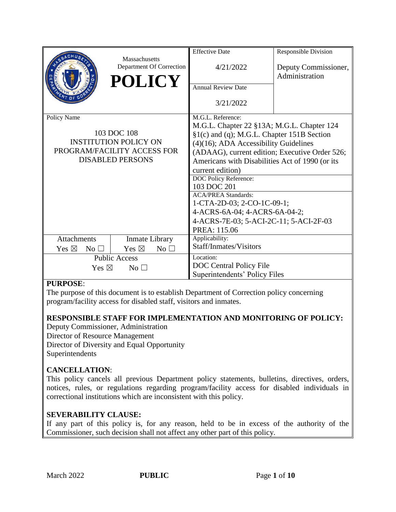|                                         |                                           | <b>Effective Date</b>                                                                    | <b>Responsible Division</b>                     |  |  |
|-----------------------------------------|-------------------------------------------|------------------------------------------------------------------------------------------|-------------------------------------------------|--|--|
|                                         | Massachusetts<br>Department Of Correction | 4/21/2022                                                                                | Deputy Commissioner,                            |  |  |
|                                         | <b>POLICY</b>                             |                                                                                          | Administration                                  |  |  |
|                                         |                                           | <b>Annual Review Date</b>                                                                |                                                 |  |  |
|                                         |                                           | 3/21/2022                                                                                |                                                 |  |  |
| Policy Name                             |                                           | M.G.L. Reference:                                                                        |                                                 |  |  |
| 103 DOC 108                             |                                           | M.G.L. Chapter 22 §13A; M.G.L. Chapter 124<br>§1(c) and (q); M.G.L. Chapter 151B Section |                                                 |  |  |
|                                         | <b>INSTITUTION POLICY ON</b>              | (4)(16); ADA Accessibility Guidelines                                                    |                                                 |  |  |
|                                         | PROGRAM/FACILITY ACCESS FOR               | (ADAAG), current edition; Executive Order 526;                                           |                                                 |  |  |
|                                         | <b>DISABLED PERSONS</b>                   |                                                                                          | Americans with Disabilities Act of 1990 (or its |  |  |
|                                         |                                           | current edition)                                                                         |                                                 |  |  |
|                                         |                                           | DOC Policy Reference:                                                                    |                                                 |  |  |
|                                         |                                           | 103 DOC 201<br><b>ACA/PREA Standards:</b>                                                |                                                 |  |  |
|                                         |                                           | 1-CTA-2D-03; 2-CO-1C-09-1;                                                               |                                                 |  |  |
|                                         |                                           | 4-ACRS-6A-04; 4-ACRS-6A-04-2;                                                            |                                                 |  |  |
|                                         |                                           | 4-ACRS-7E-03; 5-ACI-2C-11; 5-ACI-2F-03                                                   |                                                 |  |  |
|                                         |                                           | PREA: 115.06                                                                             |                                                 |  |  |
| <b>Attachments</b>                      | Inmate Library                            | Applicability:<br>Staff/Inmates/Visitors                                                 |                                                 |  |  |
| Yes $\boxtimes$<br>$\rm No \,\,\square$ | Yes $\boxtimes$<br>No <sub>1</sub>        |                                                                                          |                                                 |  |  |
| <b>Public Access</b>                    |                                           | Location:<br>DOC Central Policy File                                                     |                                                 |  |  |
| Yes $\boxtimes$<br>No <sub>1</sub>      |                                           | Superintendents' Policy Files                                                            |                                                 |  |  |

#### **PURPOSE**:

The purpose of this document is to establish Department of Correction policy concerning program/facility access for disabled staff, visitors and inmates.

## **RESPONSIBLE STAFF FOR IMPLEMENTATION AND MONITORING OF POLICY:**

Deputy Commissioner, Administration Director of Resource Management Director of Diversity and Equal Opportunity Superintendents

## **CANCELLATION**:

This policy cancels all previous Department policy statements, bulletins, directives, orders, notices, rules, or regulations regarding program/facility access for disabled individuals in correctional institutions which are inconsistent with this policy.

## **SEVERABILITY CLAUSE:**

If any part of this policy is, for any reason, held to be in excess of the authority of the Commissioner, such decision shall not affect any other part of this policy.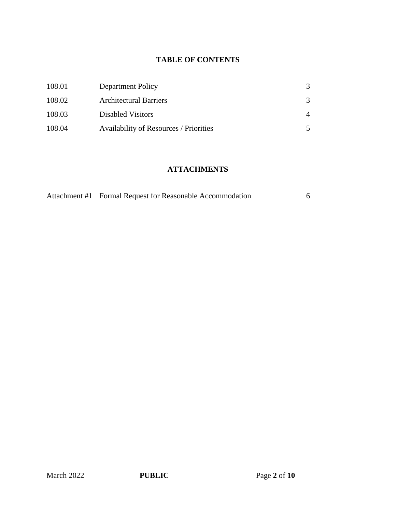## **TABLE OF CONTENTS**

| 108.01 | Department Policy                             |                |
|--------|-----------------------------------------------|----------------|
| 108.02 | <b>Architectural Barriers</b>                 | 3              |
| 108.03 | Disabled Visitors                             | $\overline{A}$ |
| 108.04 | <b>Availability of Resources / Priorities</b> |                |

## **ATTACHMENTS**

| Attachment #1 Formal Request for Reasonable Accommodation |  |
|-----------------------------------------------------------|--|
|                                                           |  |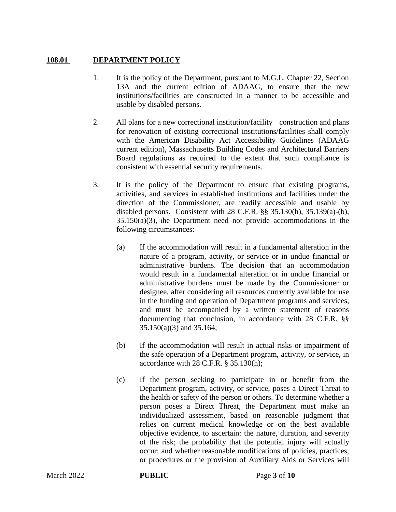#### **108.01 DEPARTMENT POLICY**

- 1. It is the policy of the Department, pursuant to M.G.L. Chapter 22, Section 13A and the current edition of ADAAG, to ensure that the new institutions/facilities are constructed in a manner to be accessible and usable by disabled persons.
- 2. All plans for a new correctional institution/facility construction and plans for renovation of existing correctional institutions/facilities shall comply with the American Disability Act Accessibility Guidelines (ADAAG current edition), Massachusetts Building Codes and Architectural Barriers Board regulations as required to the extent that such compliance is consistent with essential security requirements.
- 3. It is the policy of the Department to ensure that existing programs, activities, and services in established institutions and facilities under the direction of the Commissioner, are readily accessible and usable by disabled persons. Consistent with 28 C.F.R. §§ 35.130(h), 35.139(a)-(b), 35.150(a)(3), the Department need not provide accommodations in the following circumstances:
	- (a) If the accommodation will result in a fundamental alteration in the nature of a program, activity, or service or in undue financial or administrative burdens. The decision that an accommodation would result in a fundamental alteration or in undue financial or administrative burdens must be made by the Commissioner or designee, after considering all resources currently available for use in the funding and operation of Department programs and services, and must be accompanied by a written statement of reasons documenting that conclusion, in accordance with 28 C.F.R. §§ 35.150(a)(3) and 35.164;
	- (b) If the accommodation will result in actual risks or impairment of the safe operation of a Department program, activity, or service, in accordance with 28 C.F.R. § 35.130(h);
	- (c) If the person seeking to participate in or benefit from the Department program, activity, or service, poses a Direct Threat to the health or safety of the person or others. To determine whether a person poses a Direct Threat, the Department must make an individualized assessment, based on reasonable judgment that relies on current medical knowledge or on the best available objective evidence, to ascertain: the nature, duration, and severity of the risk; the probability that the potential injury will actually occur; and whether reasonable modifications of policies, practices, or procedures or the provision of Auxiliary Aids or Services will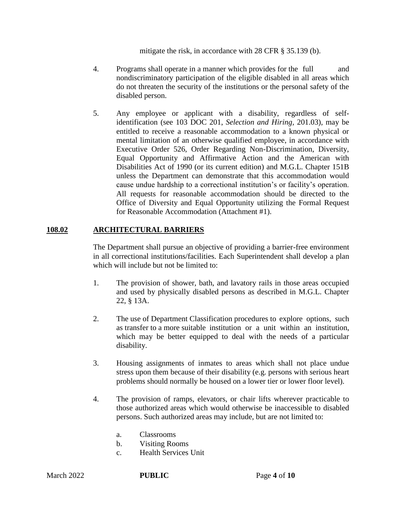mitigate the risk, in accordance with 28 CFR § 35.139 (b).

- 4. Programs shall operate in a manner which provides for the full and nondiscriminatory participation of the eligible disabled in all areas which do not threaten the security of the institutions or the personal safety of the disabled person.
- 5. Any employee or applicant with a disability, regardless of selfidentification (see 103 DOC 201, *Selection and Hiring,* 201.03), may be entitled to receive a reasonable accommodation to a known physical or mental limitation of an otherwise qualified employee, in accordance with Executive Order 526, Order Regarding Non-Discrimination, Diversity, Equal Opportunity and Affirmative Action and the American with Disabilities Act of 1990 (or its current edition) and M.G.L. Chapter 151B unless the Department can demonstrate that this accommodation would cause undue hardship to a correctional institution's or facility's operation. All requests for reasonable accommodation should be directed to the Office of Diversity and Equal Opportunity utilizing the Formal Request for Reasonable Accommodation (Attachment #1).

#### **108.02 ARCHITECTURAL BARRIERS**

The Department shall pursue an objective of providing a barrier-free environment in all correctional institutions/facilities. Each Superintendent shall develop a plan which will include but not be limited to:

- 1. The provision of shower, bath, and lavatory rails in those areas occupied and used by physically disabled persons as described in M.G.L. Chapter 22, § 13A.
- 2. The use of Department Classification procedures to explore options, such as transfer to a more suitable institution or a unit within an institution, which may be better equipped to deal with the needs of a particular disability.
- 3. Housing assignments of inmates to areas which shall not place undue stress upon them because of their disability (e.g. persons with serious heart problems should normally be housed on a lower tier or lower floor level).
- 4. The provision of ramps, elevators, or chair lifts wherever practicable to those authorized areas which would otherwise be inaccessible to disabled persons. Such authorized areas may include, but are not limited to:
	- a. Classrooms
	- b. Visiting Rooms
	- c. Health Services Unit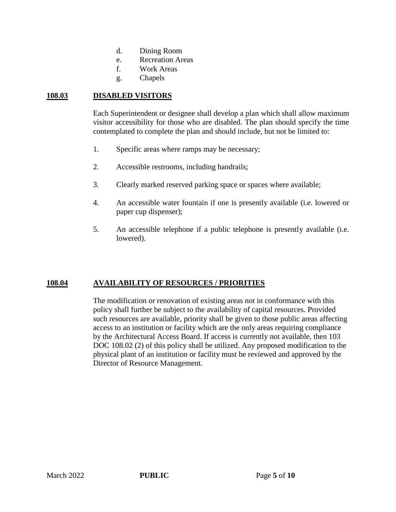- d. Dining Room
- e. Recreation Areas
- f. Work Areas
- g. Chapels

#### **108.03 DISABLED VISITORS**

Each Superintendent or designee shall develop a plan which shall allow maximum visitor accessibility for those who are disabled. The plan should specify the time contemplated to complete the plan and should include, but not be limited to:

- 1. Specific areas where ramps may be necessary;
- 2. Accessible restrooms, including handrails;
- 3. Clearly marked reserved parking space or spaces where available;
- 4. An accessible water fountain if one is presently available (i.e. lowered or paper cup dispenser);
- 5. An accessible telephone if a public telephone is presently available (i.e. lowered).

#### **108.04 AVAILABILITY OF RESOURCES / PRIORITIES**

The modification or renovation of existing areas not in conformance with this policy shall further be subject to the availability of capital resources. Provided such resources are available, priority shall be given to those public areas affecting access to an institution or facility which are the only areas requiring compliance by the Architectural Access Board. If access is currently not available, then 103 DOC 108.02 (2) of this policy shall be utilized. Any proposed modification to the physical plant of an institution or facility must be reviewed and approved by the Director of Resource Management.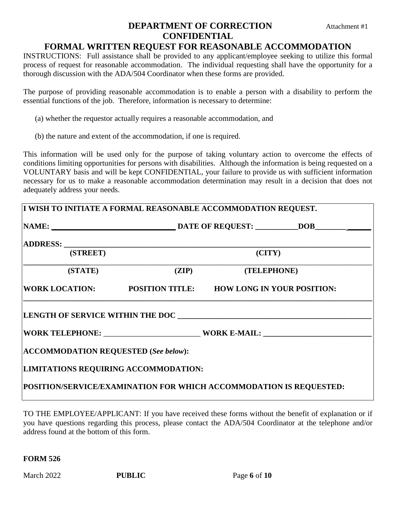## **DEPARTMENT OF CORRECTION** Attachment #1 **CONFIDENTIAL**

## **FORMAL WRITTEN REQUEST FOR REASONABLE ACCOMMODATION**

INSTRUCTIONS: Full assistance shall be provided to any applicant/employee seeking to utilize this formal process of request for reasonable accommodation. The individual requesting shall have the opportunity for a thorough discussion with the ADA/504 Coordinator when these forms are provided.

The purpose of providing reasonable accommodation is to enable a person with a disability to perform the essential functions of the job. Therefore, information is necessary to determine:

- (a) whether the requestor actually requires a reasonable accommodation, and
- (b) the nature and extent of the accommodation, if one is required.

This information will be used only for the purpose of taking voluntary action to overcome the effects of conditions limiting opportunities for persons with disabilities. Although the information is being requested on a VOLUNTARY basis and will be kept CONFIDENTIAL, your failure to provide us with sufficient information necessary for us to make a reasonable accommodation determination may result in a decision that does not adequately address your needs.

| (STREET)                                    |  | (CITY)                                                    |  |
|---------------------------------------------|--|-----------------------------------------------------------|--|
| (STATE)                                     |  | (ZIP) (TELEPHONE)                                         |  |
|                                             |  | WORK LOCATION: POSITION TITLE: HOW LONG IN YOUR POSITION: |  |
|                                             |  | WORK TELEPHONE: WORK E-MAIL:                              |  |
| <b>ACCOMMODATION REQUESTED (See below):</b> |  |                                                           |  |
| LIMITATIONS REQUIRING ACCOMMODATION:        |  |                                                           |  |
|                                             |  |                                                           |  |

TO THE EMPLOYEE/APPLICANT: If you have received these forms without the benefit of explanation or if you have questions regarding this process, please contact the ADA/504 Coordinator at the telephone and/or address found at the bottom of this form.

**FORM 526**

March 2022 **PUBLIC** Page 6 of 10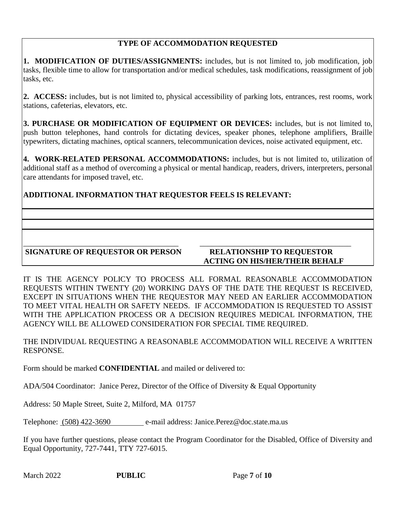## **TYPE OF ACCOMMODATION REQUESTED**

**1. MODIFICATION OF DUTIES/ASSIGNMENTS:** includes, but is not limited to, job modification, job tasks, flexible time to allow for transportation and/or medical schedules, task modifications, reassignment of job tasks, etc.

**2. ACCESS:** includes, but is not limited to, physical accessibility of parking lots, entrances, rest rooms, work stations, cafeterias, elevators, etc.

**3. PURCHASE OR MODIFICATION OF EQUIPMENT OR DEVICES:** includes, but is not limited to, push button telephones, hand controls for dictating devices, speaker phones, telephone amplifiers, Braille typewriters, dictating machines, optical scanners, telecommunication devices, noise activated equipment, etc.

**4. WORK-RELATED PERSONAL ACCOMMODATIONS:** includes, but is not limited to, utilization of additional staff as a method of overcoming a physical or mental handicap, readers, drivers, interpreters, personal care attendants for imposed travel, etc.

**ADDITIONAL INFORMATION THAT REQUESTOR FEELS IS RELEVANT:**

## **SIGNATURE OF REQUESTOR OR PERSON RELATIONSHIP TO REQUESTOR**

# **ACTING ON HIS/HER/THEIR BEHALF**

IT IS THE AGENCY POLICY TO PROCESS ALL FORMAL REASONABLE ACCOMMODATION REQUESTS WITHIN TWENTY (20) WORKING DAYS OF THE DATE THE REQUEST IS RECEIVED, EXCEPT IN SITUATIONS WHEN THE REQUESTOR MAY NEED AN EARLIER ACCOMMODATION TO MEET VITAL HEALTH OR SAFETY NEEDS. IF ACCOMMODATION IS REQUESTED TO ASSIST WITH THE APPLICATION PROCESS OR A DECISION REQUIRES MEDICAL INFORMATION, THE AGENCY WILL BE ALLOWED CONSIDERATION FOR SPECIAL TIME REQUIRED.

\_\_\_\_\_\_\_\_\_\_\_\_\_\_\_\_\_\_\_\_\_\_\_\_\_\_\_\_\_\_\_\_\_\_\_\_\_\_\_\_ \_\_\_\_\_\_\_\_\_\_\_\_\_\_\_\_\_\_\_\_\_\_\_\_\_\_\_\_\_\_\_\_\_\_\_\_\_\_\_

THE INDIVIDUAL REQUESTING A REASONABLE ACCOMMODATION WILL RECEIVE A WRITTEN RESPONSE.

Form should be marked **CONFIDENTIAL** and mailed or delivered to:

ADA/504 Coordinator: Janice Perez, Director of the Office of Diversity & Equal Opportunity

Address: 50 Maple Street, Suite 2, Milford, MA 01757

Telephone: (508) 422-3690 e-mail address: Janice.Perez@doc.state.ma.us

If you have further questions, please contact the Program Coordinator for the Disabled, Office of Diversity and Equal Opportunity, 727-7441, TTY 727-6015.

March 2022 **PUBLIC** Page 7 of 10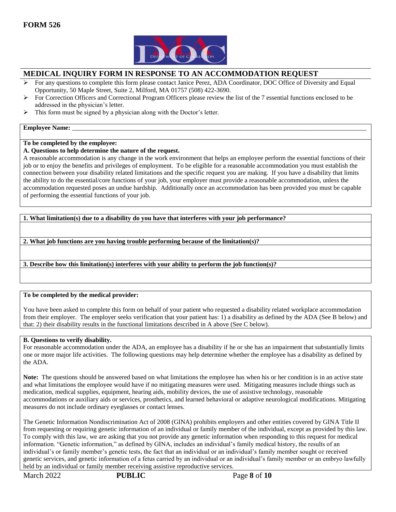

#### **MEDICAL INQUIRY FORM IN RESPONSE TO AN ACCOMMODATION REQUEST**

- $\triangleright$  For any questions to complete this form please contact Janice Perez, ADA Coordinator, DOC Office of Diversity and Equal Opportunity, 50 Maple Street, Suite 2, Milford, MA 01757 (508) 422-3690.
- $\triangleright$  For Correction Officers and Correctional Program Officers please review the list of the 7 essential functions enclosed to be addressed in the physician's letter.
- $\triangleright$  This form must be signed by a physician along with the Doctor's letter.

#### **Employee Name:**

#### **To be completed by the employee:**

#### **A. Questions to help determine the nature of the request.**

A reasonable accommodation is any change in the work environment that helps an employee perform the essential functions of their job or to enjoy the benefits and privileges of employment. To be eligible for a reasonable accommodation you must establish the connection between your disability related limitations and the specific request you are making. If you have a disability that limits the ability to do the essential/core functions of your job, your employer must provide a reasonable accommodation, unless the accommodation requested poses an undue hardship. Additionally once an accommodation has been provided you must be capable of performing the essential functions of your job.

**1. What limitation(s) due to a disability do you have that interferes with your job performance?**

**2. What job functions are you having trouble performing because of the limitation(s)?**

**3. Describe how this limitation(s) interferes with your ability to perform the job function(s)?**

#### **To be completed by the medical provider:**

You have been asked to complete this form on behalf of your patient who requested a disability related workplace accommodation from their employer. The employer seeks verification that your patient has: 1) a disability as defined by the ADA (See B below) and that: 2) their disability results in the functional limitations described in A above (See C below).

#### **B. Questions to verify disability.**

For reasonable accommodation under the ADA, an employee has a disability if he or she has an impairment that substantially limits one or more major life activities. The following questions may help determine whether the employee has a disability as defined by the ADA.

**Note:** The questions should be answered based on what limitations the employee has when his or her condition is in an active state and what limitations the employee would have if no mitigating measures were used. Mitigating measures include things such as medication, medical supplies, equipment, hearing aids, mobility devices, the use of assistive technology, reasonable accommodations or auxiliary aids or services, prosthetics, and learned behavioral or adaptive neurological modifications. Mitigating measures do not include ordinary eyeglasses or contact lenses.

The Genetic Information Nondiscrimination Act of 2008 (GINA) prohibits employers and other entities covered by GINA Title II from requesting or requiring genetic information of an individual or family member of the individual, except as provided by this law. To comply with this law, we are asking that you not provide any genetic information when responding to this request for medical information. "Genetic information," as defined by GINA, includes an individual's family medical history, the results of an individual's or family member's genetic tests, the fact that an individual or an individual's family member sought or received genetic services, and genetic information of a fetus carried by an individual or an individual's family member or an embryo lawfully held by an individual or family member receiving assistive reproductive services.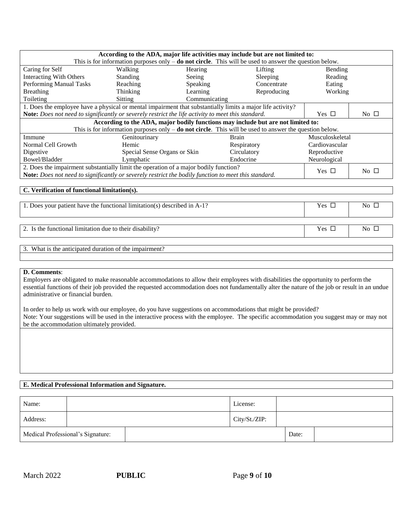| According to the ADA, major life activities may include but are not limited to:                            |                              |               |              |                 |              |
|------------------------------------------------------------------------------------------------------------|------------------------------|---------------|--------------|-----------------|--------------|
| This is for information purposes only $-$ do not circle. This will be used to answer the question below.   |                              |               |              |                 |              |
| Caring for Self<br>Hearing<br>Walking<br>Lifting                                                           |                              |               |              |                 |              |
| <b>Interacting With Others</b>                                                                             | <b>Standing</b>              | Seeing        | Sleeping     | Reading         |              |
| Performing Manual Tasks                                                                                    | Reaching                     | Speaking      | Concentrate  | Eating          |              |
| Breathing                                                                                                  | Thinking                     | Learning      | Reproducing  | Working         |              |
| Toileting                                                                                                  | Sitting                      | Communicating |              |                 |              |
| 1. Does the employee have a physical or mental impairment that substantially limits a major life activity? |                              |               |              |                 |              |
| Note: Does not need to significantly or severely restrict the life activity to meet this standard.         |                              |               |              |                 | No $\square$ |
| According to the ADA, major bodily functions may include but are not limited to:                           |                              |               |              |                 |              |
| This is for information purposes only $-$ do not circle. This will be used to answer the question below.   |                              |               |              |                 |              |
| Immune                                                                                                     | Genitourinary                |               | Brain        | Musculoskeletal |              |
| Normal Cell Growth                                                                                         | Hemic                        |               | Respiratory  | Cardiovascular  |              |
| Digestive                                                                                                  | Special Sense Organs or Skin |               | Circulatory  | Reproductive    |              |
| Bowel/Bladder                                                                                              | Endocrine<br>Lymphatic       |               | Neurological |                 |              |
| 2. Does the impairment substantially limit the operation of a major bodily function?                       |                              |               |              |                 | No $\Box$    |
| Note: Does not need to significantly or severely restrict the bodily function to meet this standard.       |                              |               |              | Yes $\Box$      |              |
|                                                                                                            |                              |               |              |                 |              |

#### **C. Verification of functional limitation(s).**

1. Does your patient have the functional limitation(s) described in A-1? Yes No

2. Is the functional limitation due to their disability? Yes No

3. What is the anticipated duration of the impairment?

#### **D. Comments**:

Employers are obligated to make reasonable accommodations to allow their employees with disabilities the opportunity to perform the essential functions of their job provided the requested accommodation does not fundamentally alter the nature of the job or result in an undue administrative or financial burden.

In order to help us work with our employee, do you have suggestions on accommodations that might be provided? Note: Your suggestions will be used in the interactive process with the employee. The specific accommodation you suggest may or may not be the accommodation ultimately provided.

#### **E. Medical Professional Information and Signature.**

| Name:    |                                   | License:      |       |  |
|----------|-----------------------------------|---------------|-------|--|
| Address: |                                   | City/St./ZIP: |       |  |
|          | Medical Professional's Signature: |               | Date: |  |